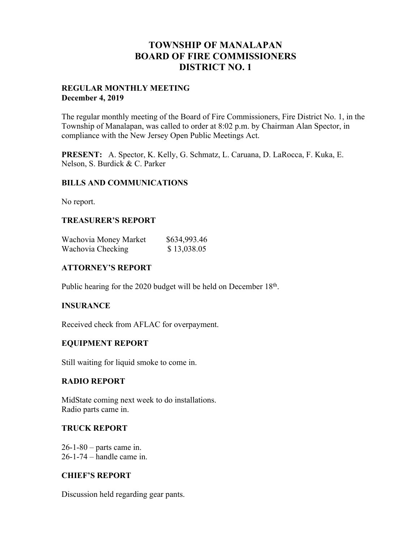## **TOWNSHIP OF MANALAPAN BOARD OF FIRE COMMISSIONERS DISTRICT NO. 1**

#### **REGULAR MONTHLY MEETING December 4, 2019**

The regular monthly meeting of the Board of Fire Commissioners, Fire District No. 1, in the Township of Manalapan, was called to order at 8:02 p.m. by Chairman Alan Spector, in compliance with the New Jersey Open Public Meetings Act.

**PRESENT:** A. Spector, K. Kelly, G. Schmatz, L. Caruana, D. LaRocca, F. Kuka, E. Nelson, S. Burdick & C. Parker

#### **BILLS AND COMMUNICATIONS**

No report.

#### **TREASURER'S REPORT**

| Wachovia Money Market | \$634,993.46 |
|-----------------------|--------------|
| Wachovia Checking     | \$13,038.05  |

#### **ATTORNEY'S REPORT**

Public hearing for the 2020 budget will be held on December 18<sup>th</sup>.

#### **INSURANCE**

Received check from AFLAC for overpayment.

### **EQUIPMENT REPORT**

Still waiting for liquid smoke to come in.

#### **RADIO REPORT**

MidState coming next week to do installations. Radio parts came in.

#### **TRUCK REPORT**

26-1-80 – parts came in. 26-1-74 – handle came in.

#### **CHIEF'S REPORT**

Discussion held regarding gear pants.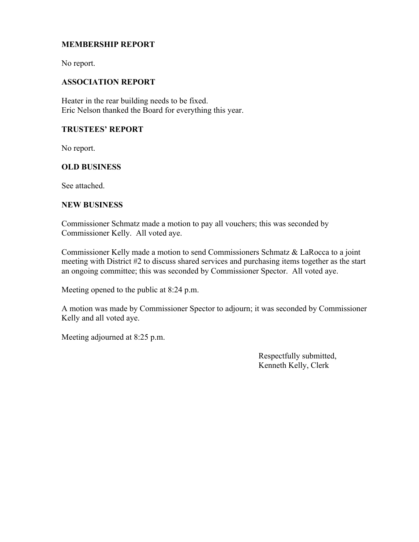#### **MEMBERSHIP REPORT**

No report.

#### **ASSOCIATION REPORT**

Heater in the rear building needs to be fixed. Eric Nelson thanked the Board for everything this year.

#### **TRUSTEES' REPORT**

No report.

#### **OLD BUSINESS**

See attached.

#### **NEW BUSINESS**

Commissioner Schmatz made a motion to pay all vouchers; this was seconded by Commissioner Kelly. All voted aye.

Commissioner Kelly made a motion to send Commissioners Schmatz & LaRocca to a joint meeting with District #2 to discuss shared services and purchasing items together as the start an ongoing committee; this was seconded by Commissioner Spector. All voted aye.

Meeting opened to the public at 8:24 p.m.

A motion was made by Commissioner Spector to adjourn; it was seconded by Commissioner Kelly and all voted aye.

Meeting adjourned at 8:25 p.m.

 Respectfully submitted, Kenneth Kelly, Clerk